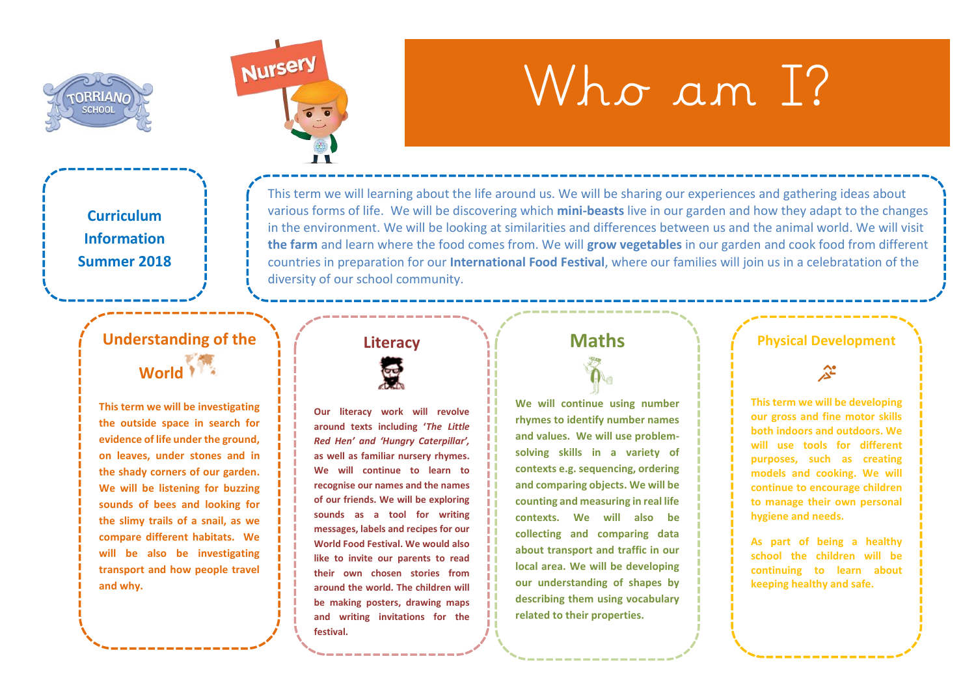



# Who am T?

**Curriculum Information Summer 2018**

### **Understanding of the**  World

**This term we will be investigating the outside space in search for evidence of life under the ground, on leaves, under stones and in the shady corners of our garden. We will be listening for buzzing sounds of bees and looking for the slimy trails of a snail, as we compare different habitats. We will be also be investigating transport and how people travel and why.** 

## **Literacy**

diversity of our school community.



**Our literacy work will revolve around texts including '***The Little Red Hen' and 'Hungry Caterpillar',*  **as well as familiar nursery rhymes. We will continue to learn to recognise our names and the names of our friends. We will be exploring sounds as a tool for writing messages, labels and recipes for our World Food Festival. We would also like to invite our parents to read their own chosen stories from around the world. The children will be making posters, drawing maps and writing invitations for the festival.**

#### **Maths**

This term we will learning about the life around us. We will be sharing our experiences and gathering ideas about various forms of life. We will be discovering which **mini-beasts** live in our garden and how they adapt to the changes in the environment. We will be looking at similarities and differences between us and the animal world. We will visit **the farm** and learn where the food comes from. We will **grow vegetables** in our garden and cook food from different countries in preparation for our **International Food Festival**, where our families will join us in a celebratation of the

> **We will continue using number rhymes to identify number names and values. We will use problemsolving skills in a variety of contexts e.g. sequencing, ordering and comparing objects. We will be counting and measuring in real life contexts. We will also be collecting and comparing data about transport and traffic in our local area. We will be developing our understanding of shapes by describing them using vocabulary related to their properties.**

#### **Physical Development**

소

**This term we will be developing our gross and fine motor skills both indoors and outdoors. We will use tools for different purposes, such as creating models and cooking. We will continue to encourage children to manage their own personal hygiene and needs.**

**As part of being a healthy school the children will be continuing to learn about keeping healthy and safe.**